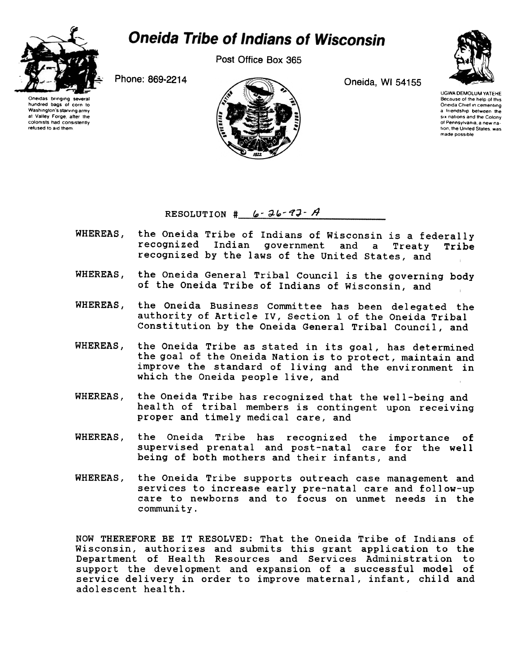

## **Oneida Tribe of Indians of Wisconsin**

Post Office Box 365

Oneidas bringing several nundred bags of corn to<br>Washington's.starving.army at Valley Forge, after the colonists had consistently refused to aid them





UGWA DEMOLUM YATEHE Because of the help of thIs Oneida Chief in cementing a friendship between the six nations and the Colony of Pennsylvania, a new nation, the United States, was made possible

## RESOLUTION  $\sharp$  6-36-97-A

- WHEREAS. the Oneida Tribe of Indians of Wisconsin is a federally recognized Indian government and a Treaty Tribe recognized by the laws of the United states, and
- the Oneida General Tribal Council is the governing body WHEREAS, of the Oneida Tribe of Indians of Wisconsin, and
- WHEREAS, the Oneida Business Committee has been delegated the authority of Article IV, Section 1 of the Oneida Tribal Constitution by the Oneida General Tribal Council, and
- WHEREAS, the Oneida Tribe as stated in its goal, has determined the goal of the Oneida Nation is to protect, maintain and improve the standard of living and the environment in which the Oneida people live, and
- WHEREAS, the Oneida Tribe has recognized that the well-being and health of tribal members is contingent upon receiving proper and timely medical care, and
- WHEREAS, the Oneida Tribe has recognized the importance of supervised prenatal and post-natal care for the well being of both mothers and their infants, and
- WHEREAS, the Oneida Tribe supports outreach case management and services to increase early pre-natal care and follow-up care to newborns and to focus on unmet needs in the community.

NOW THEREFORE BE IT RESOLVED: That the Oneida Tribe of Indians of Wisconsin, authorizes and submits this grant application to the Department of Health Resources and Services Administration to support the development and expansion of a successful model of service delivery in order to improve maternal, infant, child and adolescent health.